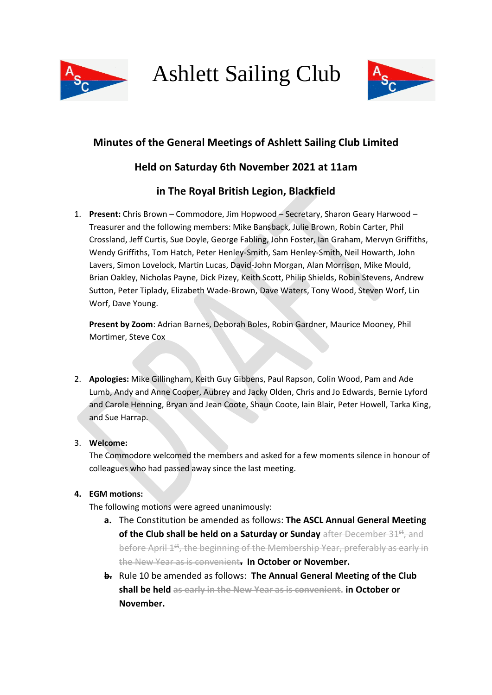

Ashlett Sailing Club



# **Minutes of the General Meetings of Ashlett Sailing Club Limited**

## **Held on Saturday 6th November 2021 at 11am**

## **in The Royal British Legion, Blackfield**

1. **Present:** Chris Brown – Commodore, Jim Hopwood – Secretary, Sharon Geary Harwood – Treasurer and the following members: Mike Bansback, Julie Brown, Robin Carter, Phil Crossland, Jeff Curtis, Sue Doyle, George Fabling, John Foster, Ian Graham, Mervyn Griffiths, Wendy Griffiths, Tom Hatch, Peter Henley-Smith, Sam Henley-Smith, Neil Howarth, John Lavers, Simon Lovelock, Martin Lucas, David-John Morgan, Alan Morrison, Mike Mould, Brian Oakley, Nicholas Payne, Dick Pizey, Keith Scott, Philip Shields, Robin Stevens, Andrew Sutton, Peter Tiplady, Elizabeth Wade-Brown, Dave Waters, Tony Wood, Steven Worf, Lin Worf, Dave Young.

**Present by Zoom**: Adrian Barnes, Deborah Boles, Robin Gardner, Maurice Mooney, Phil Mortimer, Steve Cox

2. **Apologies:** Mike Gillingham, Keith Guy Gibbens, Paul Rapson, Colin Wood, Pam and Ade Lumb, Andy and Anne Cooper, Aubrey and Jacky Olden, Chris and Jo Edwards, Bernie Lyford and Carole Henning, Bryan and Jean Coote, Shaun Coote, Iain Blair, Peter Howell, Tarka King, and Sue Harrap.

## 3. **Welcome:**

The Commodore welcomed the members and asked for a few moments silence in honour of colleagues who had passed away since the last meeting.

## **4. EGM motions:**

The following motions were agreed unanimously:

- **a.** The Constitution be amended as follows: **The ASCL Annual General Meeting of the Club shall be held on a Saturday or Sunday** after December 31<sup>st</sup>, and before April 1<sup>st</sup>, the beginning of the Membership Year, preferably as early in the New Year as is convenient**. In October or November.**
- **b.** Rule 10 be amended as follows: **The Annual General Meeting of the Club shall be held as early in the New Year as is convenient. in October or November.**